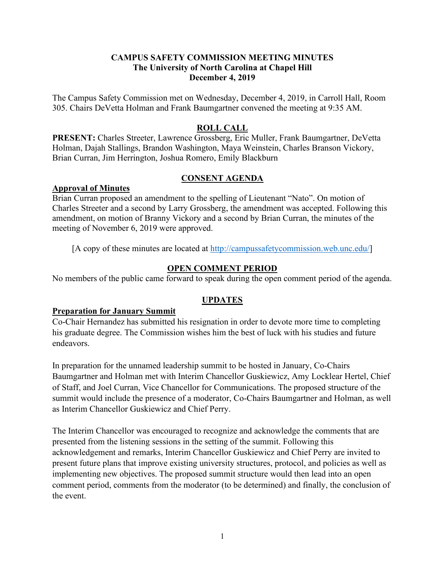## **CAMPUS SAFETY COMMISSION MEETING MINUTES The University of North Carolina at Chapel Hill December 4, 2019**

The Campus Safety Commission met on Wednesday, December 4, 2019, in Carroll Hall, Room 305. Chairs DeVetta Holman and Frank Baumgartner convened the meeting at 9:35 AM.

## **ROLL CALL**

**PRESENT:** Charles Streeter, Lawrence Grossberg, Eric Muller, Frank Baumgartner, DeVetta Holman, Dajah Stallings, Brandon Washington, Maya Weinstein, Charles Branson Vickory, Brian Curran, Jim Herrington, Joshua Romero, Emily Blackburn

### **CONSENT AGENDA**

## **Approval of Minutes**

Brian Curran proposed an amendment to the spelling of Lieutenant "Nato". On motion of Charles Streeter and a second by Larry Grossberg, the amendment was accepted. Following this amendment, on motion of Branny Vickory and a second by Brian Curran, the minutes of the meeting of November 6, 2019 were approved.

[A copy of these minutes are located at [http://campussafetycommission.web.unc.edu/\]](http://campussafetycommission.web.unc.edu/)

#### **OPEN COMMENT PERIOD**

No members of the public came forward to speak during the open comment period of the agenda.

### **UPDATES**

#### **Preparation for January Summit**

Co-Chair Hernandez has submitted his resignation in order to devote more time to completing his graduate degree. The Commission wishes him the best of luck with his studies and future endeavors.

In preparation for the unnamed leadership summit to be hosted in January, Co-Chairs Baumgartner and Holman met with Interim Chancellor Guskiewicz, Amy Locklear Hertel, Chief of Staff, and Joel Curran, Vice Chancellor for Communications. The proposed structure of the summit would include the presence of a moderator, Co-Chairs Baumgartner and Holman, as well as Interim Chancellor Guskiewicz and Chief Perry.

The Interim Chancellor was encouraged to recognize and acknowledge the comments that are presented from the listening sessions in the setting of the summit. Following this acknowledgement and remarks, Interim Chancellor Guskiewicz and Chief Perry are invited to present future plans that improve existing university structures, protocol, and policies as well as implementing new objectives. The proposed summit structure would then lead into an open comment period, comments from the moderator (to be determined) and finally, the conclusion of the event.